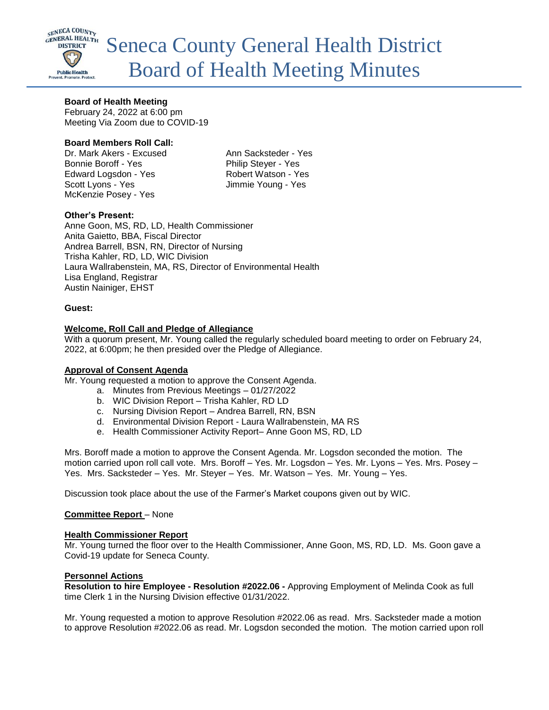

# **Board of Health Meeting**

February 24, 2022 at 6:00 pm Meeting Via Zoom due to COVID-19

# **Board Members Roll Call:**

Dr. Mark Akers - Excused Ann Sacksteder - Yes Bonnie Boroff - Yes Philip Steyer - Yes Edward Logsdon - Yes Robert Watson - Yes Scott Lyons - Yes Jimmie Young - Yes McKenzie Posey - Yes

# **Other's Present:**

Anne Goon, MS, RD, LD, Health Commissioner Anita Gaietto, BBA, Fiscal Director Andrea Barrell, BSN, RN, Director of Nursing Trisha Kahler, RD, LD, WIC Division Laura Wallrabenstein, MA, RS, Director of Environmental Health Lisa England, Registrar Austin Nainiger, EHST

## **Guest:**

## **Welcome, Roll Call and Pledge of Allegiance**

With a quorum present, Mr. Young called the regularly scheduled board meeting to order on February 24, 2022, at 6:00pm; he then presided over the Pledge of Allegiance.

## **Approval of Consent Agenda**

Mr. Young requested a motion to approve the Consent Agenda.

- a. Minutes from Previous Meetings 01/27/2022
- b. WIC Division Report Trisha Kahler, RD LD
- c. Nursing Division Report Andrea Barrell, RN, BSN
- d. Environmental Division Report Laura Wallrabenstein, MA RS
- e. Health Commissioner Activity Report– Anne Goon MS, RD, LD

Mrs. Boroff made a motion to approve the Consent Agenda. Mr. Logsdon seconded the motion. The motion carried upon roll call vote. Mrs. Boroff – Yes. Mr. Logsdon – Yes. Mr. Lyons – Yes. Mrs. Posey – Yes. Mrs. Sacksteder – Yes. Mr. Steyer – Yes. Mr. Watson – Yes. Mr. Young – Yes.

Discussion took place about the use of the Farmer's Market coupons given out by WIC.

## **Committee Report** – None

## **Health Commissioner Report**

Mr. Young turned the floor over to the Health Commissioner, Anne Goon, MS, RD, LD. Ms. Goon gave a Covid-19 update for Seneca County.

## **Personnel Actions**

**Resolution to hire Employee - Resolution #2022.06 -** Approving Employment of Melinda Cook as full time Clerk 1 in the Nursing Division effective 01/31/2022.

Mr. Young requested a motion to approve Resolution #2022.06 as read. Mrs. Sacksteder made a motion to approve Resolution #2022.06 as read. Mr. Logsdon seconded the motion. The motion carried upon roll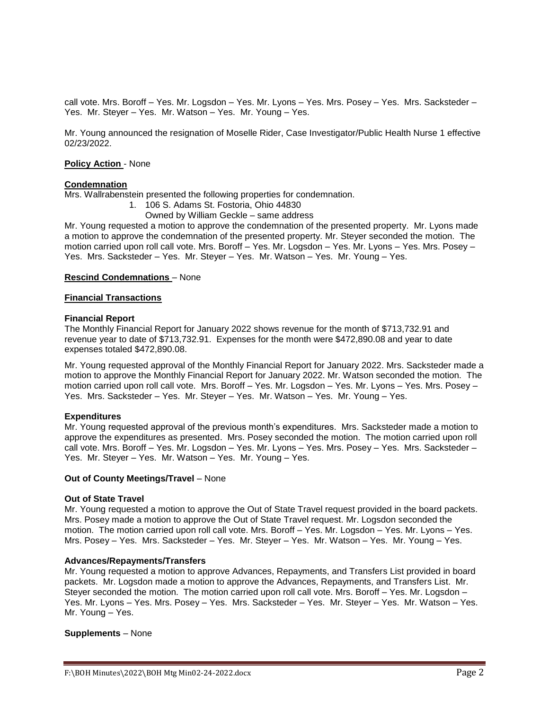call vote. Mrs. Boroff – Yes. Mr. Logsdon – Yes. Mr. Lyons – Yes. Mrs. Posey – Yes. Mrs. Sacksteder – Yes. Mr. Steyer – Yes. Mr. Watson – Yes. Mr. Young – Yes.

Mr. Young announced the resignation of Moselle Rider, Case Investigator/Public Health Nurse 1 effective 02/23/2022.

#### **Policy Action** - None

### **Condemnation**

Mrs. Wallrabenstein presented the following properties for condemnation.

- 1. 106 S. Adams St. Fostoria, Ohio 44830
- Owned by William Geckle same address

Mr. Young requested a motion to approve the condemnation of the presented property. Mr. Lyons made a motion to approve the condemnation of the presented property. Mr. Steyer seconded the motion. The motion carried upon roll call vote. Mrs. Boroff – Yes. Mr. Logsdon – Yes. Mr. Lyons – Yes. Mrs. Posey – Yes. Mrs. Sacksteder – Yes. Mr. Steyer – Yes. Mr. Watson – Yes. Mr. Young – Yes.

# **Rescind Condemnations** – None

### **Financial Transactions**

#### **Financial Report**

The Monthly Financial Report for January 2022 shows revenue for the month of \$713,732.91 and revenue year to date of \$713,732.91. Expenses for the month were \$472,890.08 and year to date expenses totaled \$472,890.08.

Mr. Young requested approval of the Monthly Financial Report for January 2022. Mrs. Sacksteder made a motion to approve the Monthly Financial Report for January 2022. Mr. Watson seconded the motion. The motion carried upon roll call vote. Mrs. Boroff – Yes. Mr. Logsdon – Yes. Mr. Lyons – Yes. Mrs. Posey – Yes. Mrs. Sacksteder – Yes. Mr. Steyer – Yes. Mr. Watson – Yes. Mr. Young – Yes.

## **Expenditures**

Mr. Young requested approval of the previous month's expenditures. Mrs. Sacksteder made a motion to approve the expenditures as presented. Mrs. Posey seconded the motion. The motion carried upon roll call vote. Mrs. Boroff – Yes. Mr. Logsdon – Yes. Mr. Lyons – Yes. Mrs. Posey – Yes. Mrs. Sacksteder – Yes. Mr. Steyer – Yes. Mr. Watson – Yes. Mr. Young – Yes.

#### **Out of County Meetings/Travel** – None

#### **Out of State Travel**

Mr. Young requested a motion to approve the Out of State Travel request provided in the board packets. Mrs. Posey made a motion to approve the Out of State Travel request. Mr. Logsdon seconded the motion. The motion carried upon roll call vote. Mrs. Boroff – Yes. Mr. Logsdon – Yes. Mr. Lyons – Yes. Mrs. Posey – Yes. Mrs. Sacksteder – Yes. Mr. Steyer – Yes. Mr. Watson – Yes. Mr. Young – Yes.

#### **Advances/Repayments/Transfers**

Mr. Young requested a motion to approve Advances, Repayments, and Transfers List provided in board packets. Mr. Logsdon made a motion to approve the Advances, Repayments, and Transfers List. Mr. Steyer seconded the motion. The motion carried upon roll call vote. Mrs. Boroff – Yes. Mr. Logsdon – Yes. Mr. Lyons – Yes. Mrs. Posey – Yes. Mrs. Sacksteder – Yes. Mr. Steyer – Yes. Mr. Watson – Yes. Mr. Young – Yes.

## **Supplements** – None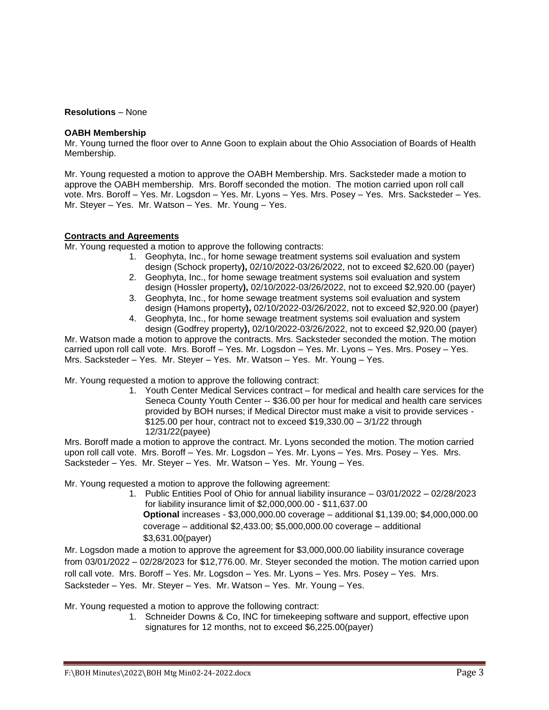### **Resolutions** – None

### **OABH Membership**

Mr. Young turned the floor over to Anne Goon to explain about the Ohio Association of Boards of Health Membership.

Mr. Young requested a motion to approve the OABH Membership. Mrs. Sacksteder made a motion to approve the OABH membership. Mrs. Boroff seconded the motion. The motion carried upon roll call vote. Mrs. Boroff – Yes. Mr. Logsdon – Yes. Mr. Lyons – Yes. Mrs. Posey – Yes. Mrs. Sacksteder – Yes. Mr. Steyer – Yes. Mr. Watson – Yes. Mr. Young – Yes.

## **Contracts and Agreements**

Mr. Young requested a motion to approve the following contracts:

- 1. Geophyta, Inc., for home sewage treatment systems soil evaluation and system design (Schock property**),** 02/10/2022-03/26/2022, not to exceed \$2,620.00 (payer)
- 2. Geophyta, Inc., for home sewage treatment systems soil evaluation and system design (Hossler property**),** 02/10/2022-03/26/2022, not to exceed \$2,920.00 (payer)
- 3. Geophyta, Inc., for home sewage treatment systems soil evaluation and system design (Hamons property**),** 02/10/2022-03/26/2022, not to exceed \$2,920.00 (payer)
- 4. Geophyta, Inc., for home sewage treatment systems soil evaluation and system design (Godfrey property**),** 02/10/2022-03/26/2022, not to exceed \$2,920.00 (payer)

Mr. Watson made a motion to approve the contracts. Mrs. Sacksteder seconded the motion. The motion carried upon roll call vote. Mrs. Boroff – Yes. Mr. Logsdon – Yes. Mr. Lyons – Yes. Mrs. Posey – Yes. Mrs. Sacksteder – Yes. Mr. Steyer – Yes. Mr. Watson – Yes. Mr. Young – Yes.

Mr. Young requested a motion to approve the following contract:

1. Youth Center Medical Services contract – for medical and health care services for the Seneca County Youth Center -- \$36.00 per hour for medical and health care services provided by BOH nurses; if Medical Director must make a visit to provide services - \$125.00 per hour, contract not to exceed \$19,330.00 – 3/1/22 through 12/31/22(payee)

Mrs. Boroff made a motion to approve the contract. Mr. Lyons seconded the motion. The motion carried upon roll call vote. Mrs. Boroff – Yes. Mr. Logsdon – Yes. Mr. Lyons – Yes. Mrs. Posey – Yes. Mrs. Sacksteder – Yes. Mr. Steyer – Yes. Mr. Watson – Yes. Mr. Young – Yes.

Mr. Young requested a motion to approve the following agreement:

1. Public Entities Pool of Ohio for annual liability insurance – 03/01/2022 – 02/28/2023 for liability insurance limit of \$2,000,000.00 - \$11,637.00 **Optional** increases - \$3,000,000.00 coverage – additional \$1,139.00; \$4,000,000.00 coverage – additional \$2,433.00; \$5,000,000.00 coverage – additional \$3,631.00(payer)

Mr. Logsdon made a motion to approve the agreement for \$3,000,000.00 liability insurance coverage from 03/01/2022 – 02/28/2023 for \$12,776.00. Mr. Steyer seconded the motion. The motion carried upon roll call vote. Mrs. Boroff – Yes. Mr. Logsdon – Yes. Mr. Lyons – Yes. Mrs. Posey – Yes. Mrs. Sacksteder – Yes. Mr. Steyer – Yes. Mr. Watson – Yes. Mr. Young – Yes.

Mr. Young requested a motion to approve the following contract:

1. Schneider Downs & Co, INC for timekeeping software and support, effective upon signatures for 12 months, not to exceed \$6,225.00(payer)